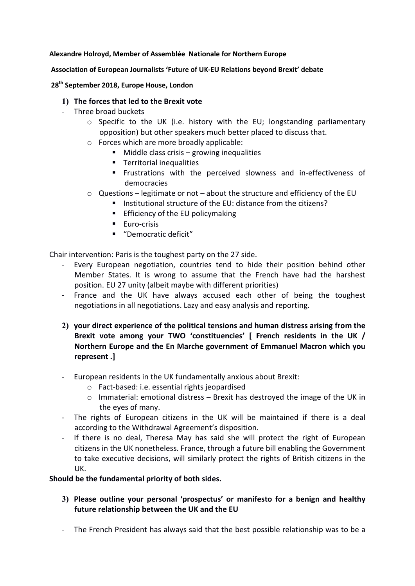## Alexandre Holroyd, Member of Assemblée Nationale for Northern Europe

## Association of European Journalists 'Future of UK-EU Relations beyond Brexit' debate

28<sup>th</sup> September 2018, Europe House, London

## 1) The forces that led to the Brexit vote

- Three broad buckets
	- o Specific to the UK (i.e. history with the EU; longstanding parliamentary opposition) but other speakers much better placed to discuss that.
	- o Forces which are more broadly applicable:
		- $\blacksquare$  Middle class crisis growing inequalities
		- **Territorial inequalities**
		- Frustrations with the perceived slowness and in-effectiveness of democracies
	- o Questions legitimate or not about the structure and efficiency of the EU
		- Institutional structure of the EU: distance from the citizens?
			- **Efficiency of the EU policymaking**
			- **Euro-crisis**
			- "Democratic deficit"

Chair intervention: Paris is the toughest party on the 27 side.

- Every European negotiation, countries tend to hide their position behind other Member States. It is wrong to assume that the French have had the harshest position. EU 27 unity (albeit maybe with different priorities)
- France and the UK have always accused each other of being the toughest negotiations in all negotiations. Lazy and easy analysis and reporting.
- 2) your direct experience of the political tensions and human distress arising from the Brexit vote among your TWO 'constituencies' [ French residents in the UK / Northern Europe and the En Marche government of Emmanuel Macron which you represent .]
- European residents in the UK fundamentally anxious about Brexit:
	- o Fact-based: i.e. essential rights jeopardised
	- o Immaterial: emotional distress Brexit has destroyed the image of the UK in the eyes of many.
- The rights of European citizens in the UK will be maintained if there is a deal according to the Withdrawal Agreement's disposition.
- If there is no deal, Theresa May has said she will protect the right of European citizens in the UK nonetheless. France, through a future bill enabling the Government to take executive decisions, will similarly protect the rights of British citizens in the UK.

## Should be the fundamental priority of both sides.

- 3) Please outline your personal 'prospectus' or manifesto for a benign and healthy future relationship between the UK and the EU
- The French President has always said that the best possible relationship was to be a